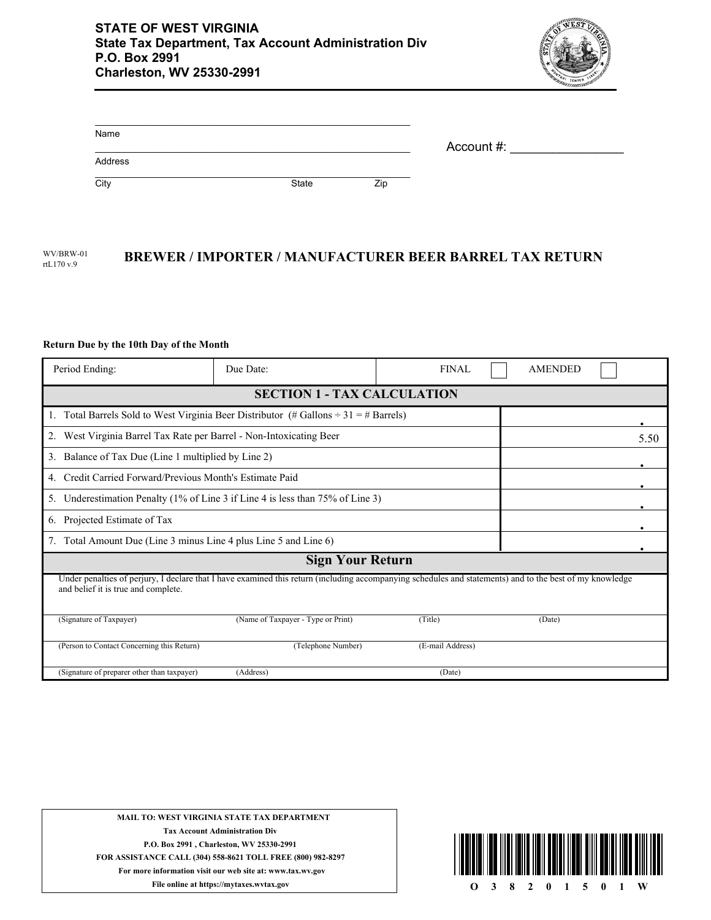

| Name    |       |     | Account #: |
|---------|-------|-----|------------|
| Address |       |     |            |
| City    | State | Zip |            |

## WV/BRW-01 **BREWER / IMPORTER / MANUFACTURER BEER BARREL TAX RETURN** rtL170 v.9

## **Return Due by the 10th Day of the Month**

| Period Ending:                                                                                                                                                                                  | Due Date:                          | <b>FINAL</b>     | <b>AMENDED</b> |  |  |  |  |
|-------------------------------------------------------------------------------------------------------------------------------------------------------------------------------------------------|------------------------------------|------------------|----------------|--|--|--|--|
| <b>SECTION 1 - TAX CALCULATION</b>                                                                                                                                                              |                                    |                  |                |  |  |  |  |
| Total Barrels Sold to West Virginia Beer Distributor (# Gallons $\div 31 = \text{\# Barrels}$ )<br>Ι.                                                                                           |                                    |                  |                |  |  |  |  |
| West Virginia Barrel Tax Rate per Barrel - Non-Intoxicating Beer<br>2.                                                                                                                          | 5.50                               |                  |                |  |  |  |  |
| Balance of Tax Due (Line 1 multiplied by Line 2)<br>3.                                                                                                                                          |                                    |                  |                |  |  |  |  |
| Credit Carried Forward/Previous Month's Estimate Paid<br>4.                                                                                                                                     |                                    |                  |                |  |  |  |  |
| Underestimation Penalty (1% of Line 3 if Line 4 is less than $75\%$ of Line 3)<br>5.                                                                                                            |                                    |                  |                |  |  |  |  |
| Projected Estimate of Tax<br>6.                                                                                                                                                                 |                                    |                  |                |  |  |  |  |
| Total Amount Due (Line 3 minus Line 4 plus Line 5 and Line 6)<br>7.                                                                                                                             |                                    |                  |                |  |  |  |  |
| <b>Sign Your Return</b>                                                                                                                                                                         |                                    |                  |                |  |  |  |  |
| Under penalties of perjury, I declare that I have examined this return (including accompanying schedules and statements) and to the best of my knowledge<br>and belief it is true and complete. |                                    |                  |                |  |  |  |  |
| (Signature of Taxpayer)                                                                                                                                                                         | (Name of Taxpayer - Type or Print) | (Title)          | (Date)         |  |  |  |  |
| (Person to Contact Concerning this Return)                                                                                                                                                      | (Telephone Number)                 | (E-mail Address) |                |  |  |  |  |
| (Signature of preparer other than taxpayer)                                                                                                                                                     | (Address)                          | (Date)           |                |  |  |  |  |